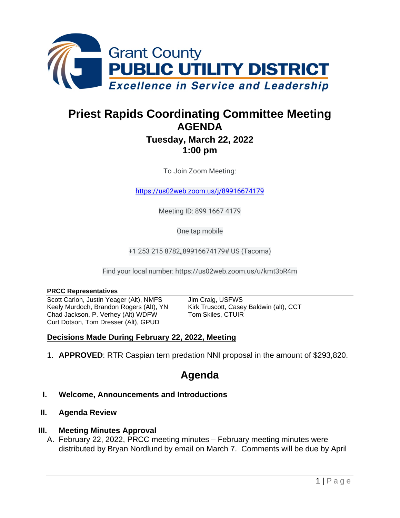

# **Priest Rapids Coordinating Committee Meeting AGENDA**

# **Tuesday, March 22, 2022 1:00 pm**

To Join Zoom Meeting:

<https://us02web.zoom.us/j/89916674179>

Meeting ID: 899 1667 4179

One tap mobile

+1 253 215 8782,,89916674179# US (Tacoma)

Find your local number: https://us02web.zoom.us/u/kmt3bR4m

#### **PRCC Representatives**

Scott Carlon, Justin Yeager (Alt), NMFS Jim Craig, USFWS Keely Murdoch, Brandon Rogers (Alt), YN Kirk Truscott, Casey Baldwin (alt), CCT Chad Jackson, P. Verhey (Alt) WDFW Tom Skiles, CTUIR Curt Dotson, Tom Dresser (Alt), GPUD

## **Decisions Made During February 22, 2022, Meeting**

1. **APPROVED**: RTR Caspian tern predation NNI proposal in the amount of \$293,820.

# **Agenda**

#### **I. Welcome, Announcements and Introductions**

#### **II. Agenda Review**

#### **III. Meeting Minutes Approval**

A. February 22, 2022, PRCC meeting minutes – February meeting minutes were distributed by Bryan Nordlund by email on March 7. Comments will be due by April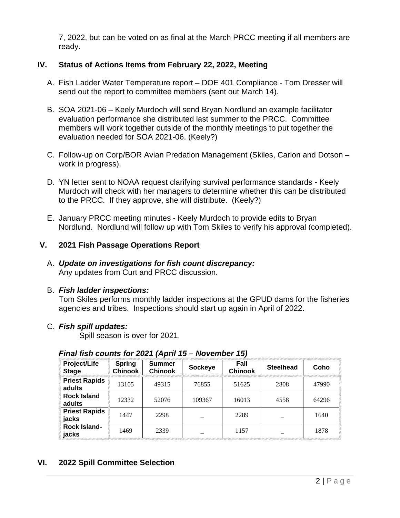7, 2022, but can be voted on as final at the March PRCC meeting if all members are ready.

## **IV. Status of Actions Items from February 22, 2022, Meeting**

- A. Fish Ladder Water Temperature report DOE 401 Compliance Tom Dresser will send out the report to committee members (sent out March 14).
- B. SOA 2021-06 Keely Murdoch will send Bryan Nordlund an example facilitator evaluation performance she distributed last summer to the PRCC. Committee members will work together outside of the monthly meetings to put together the evaluation needed for SOA 2021-06. (Keely?)
- C. Follow-up on Corp/BOR Avian Predation Management (Skiles, Carlon and Dotson work in progress).
- D. YN letter sent to NOAA request clarifying survival performance standards Keely Murdoch will check with her managers to determine whether this can be distributed to the PRCC. If they approve, she will distribute. (Keely?)
- E. January PRCC meeting minutes Keely Murdoch to provide edits to Bryan Nordlund. Nordlund will follow up with Tom Skiles to verify his approval (completed).

# **V. 2021 Fish Passage Operations Report**

A. *Update on investigations for fish count discrepancy:* Any updates from Curt and PRCC discussion.

## B. *Fish ladder inspections:*

Tom Skiles performs monthly ladder inspections at the GPUD dams for the fisheries agencies and tribes. Inspections should start up again in April of 2022.

## C. *Fish spill updates:*

Spill season is over for 2021.

| Project/Life<br><b>Stage</b>   | <b>Spring</b><br><b>Chinook</b> | <b>Summer</b><br><b>Chinook</b> | Sockeye | Fall<br><b>Chinook</b> | <b>Steelhead</b> | Coho  |
|--------------------------------|---------------------------------|---------------------------------|---------|------------------------|------------------|-------|
| <b>Priest Rapids</b><br>adults | 13105                           | 49315                           | 76855   | 51625                  | 2808             | 47990 |
| <b>Rock Island</b><br>adults   | 12332                           | 52076                           | 109367  | 16013                  | 4558             | 64296 |
| <b>Priest Rapids</b><br>jacks  | 1447                            | 2298                            |         | 2289                   |                  | 1640  |
| Rock Island-<br>jacks          | 1469                            | 2339                            |         | 1157                   |                  | 1878  |

## *Final fish counts for 2021 (April 15 – November 15)*

## **VI. 2022 Spill Committee Selection**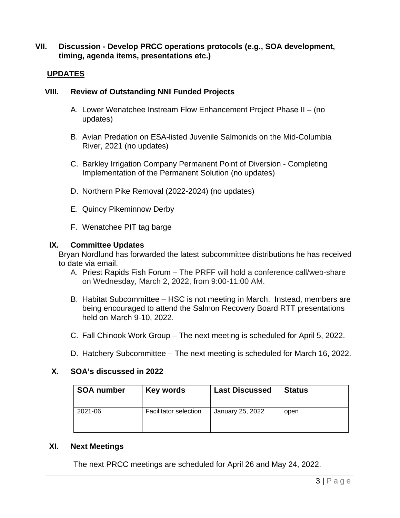#### **VII. Discussion - Develop PRCC operations protocols (e.g., SOA development, timing, agenda items, presentations etc.)**

#### **UPDATES**

#### **VIII. Review of Outstanding NNI Funded Projects**

- A. Lower Wenatchee Instream Flow Enhancement Project Phase II (no updates)
- B. Avian Predation on ESA-listed Juvenile Salmonids on the Mid-Columbia River, 2021 (no updates)
- C. Barkley Irrigation Company Permanent Point of Diversion Completing Implementation of the Permanent Solution (no updates)
- D. Northern Pike Removal (2022-2024) (no updates)
- E. Quincy Pikeminnow Derby
- F. Wenatchee PIT tag barge

#### **IX. Committee Updates**

Bryan Nordlund has forwarded the latest subcommittee distributions he has received to date via email.

- A. Priest Rapids Fish Forum The PRFF will hold a conference call/web-share on Wednesday, March 2, 2022, from 9:00-11:00 AM.
- B. Habitat Subcommittee HSC is not meeting in March. Instead, members are being encouraged to attend the Salmon Recovery Board RTT presentations held on March 9-10, 2022.
- C. Fall Chinook Work Group The next meeting is scheduled for April 5, 2022.
- D. Hatchery Subcommittee The next meeting is scheduled for March 16, 2022.

#### **X. SOA's discussed in 2022**

| <b>SOA number</b> | Key words                    | <b>Last Discussed</b> | <b>Status</b> |
|-------------------|------------------------------|-----------------------|---------------|
| 2021-06           | <b>Facilitator selection</b> | January 25, 2022      | open          |
|                   |                              |                       |               |

#### **XI. Next Meetings**

The next PRCC meetings are scheduled for April 26 and May 24, 2022.